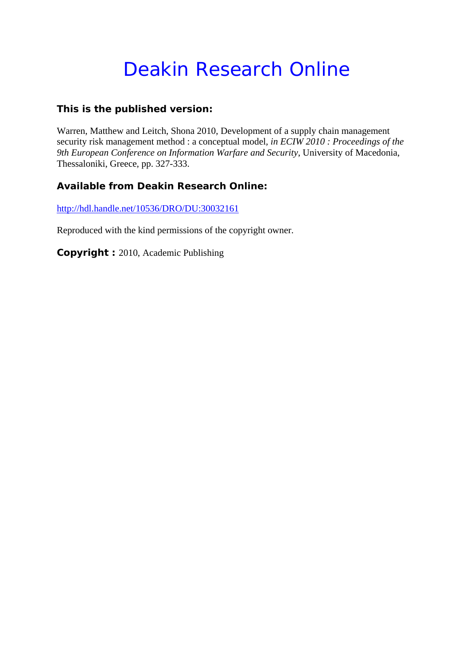# Deakin Research Online

# **This is the published version:**

Warren, Matthew and Leitch, Shona 2010, Development of a supply chain management security risk management method : a conceptual model*, in ECIW 2010 : Proceedings of the 9th European Conference on Information Warfare and Security*, University of Macedonia, Thessaloniki, Greece, pp. 327-333.

# **Available from Deakin Research Online:**

http://hdl.handle.net/10536/DRO/DU:30032161

Reproduced with the kind permissions of the copyright owner.

**Copyright :** 2010, Academic Publishing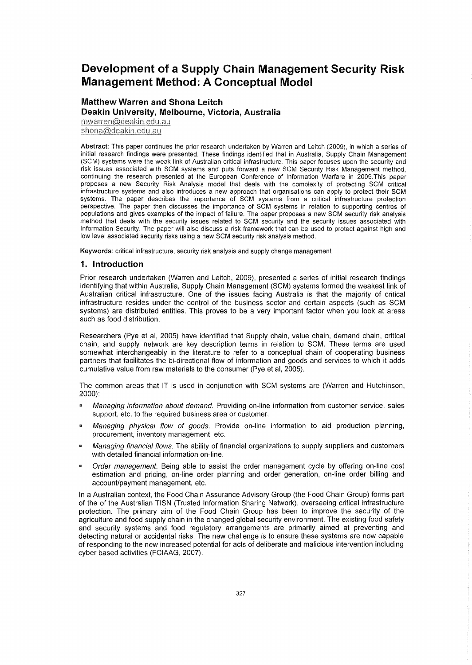# **Development of a Supply Chain Management Security Risk Management Method: A Conceptual Model**

# **Matthew Warren and Shona Leitch Deakin University, Melbourne, Victoria, Australia**

shona@deakin.edu.au

Abstract: This paper continues the prior research undertaken by Warren and Leitch (2009), in which a series of initial research findings were presented. These findings identified that in Australia, Supply Chain Management (SCM) systems were the weak link of Australian critical infrastructure. This paper focuses upon the security and risk issues associated with SCM systems and puts forward a new SCM Security Risk Management method, continuing the research presented at the European Conference of Information Warfare in 2009.This paper proposes a new Security Risk Analysis model that deals with the complexity of protecting SCM critical infrastructure systems and also introduces a new approach that organisations can apply to protect their SCM systems. The paper describes the importance of SCM systems from a critical infrastructure protection perspective. The paper then discusses the importance of SCM systems in relation to supporting centres of populations and gives examples of the impact of failure. The paper proposes a new SCM security risk analysis method that deals with the security issues related to SCM security and the security issues associated with Information Security. The paper will also discuss a risk framework that can be used to protect against high and low level associated security risks using a new SCM security risk analysis method.

Keywords: critical infrastructure, security risk analysis and supply change management

# **1. Introduction**

Prior research undertaken (Warren and Leitch, 2009), presented a series of initial research findings identifying that within Australia, Supply Chain Management (SCM) systems formed the weakest link of Australian critical infrastructure. One of the issues facing Australia is that the majority of critical infrastructure resides under the control of the business sector and certain aspects (such as SCM systems) are distributed entities. This proves to be a very important factor when you look at areas such as food distribution.

Researchers (Pye et ai, 2005) have identified that Supply chain, value chain, demand chain, critical chain, and supply network are key description terms in relation to SCM. These terms are used somewhat interchangeably in the literature to refer to a conceptual chain of cooperating business partners that facilitates the bi-directional flow of information and goods and services to which it adds cumulative value from raw materials to the consumer (Pye et ai, 2005).

The common areas that IT is used in conjunction with SCM systems are (Warren and Hutchinson, 2000):

- Managing information about demand. Providing on-line information from customer service, sales support, etc. to the required business area or customer.
- Managing physical flow of goods. Provide on-line information to aid production planning, procurement, inventory management, etc.
- Managing financial flows. The ability of financial organizations to supply suppliers and customers with detailed financial information on-line.
- Order management. Being able to assist the order management cycle by offering on-line cost estimation and pricing, on-line order planning and order generation, on-line order billing and account/payment management, etc.

In a Australian context, the Food Chain Assurance Advisory Group (the Food Chain Group) forms part of the of the Australian TISN (Trusted Information Sharing Network), overseeing critical infrastructure protection. The primary aim of the Food Chain Group has been to improve the security of the agriculture and food supply chain in the changed global security environment. The existing food safety and security systems and food regulatory arrangements are primarily aimed at preventing and detecting natural or accidental risks. The new challenge is to ensure these systems are now capable of responding to the new increased potential for acts of deliberate and malicious intervention including cyber based activities (FCIAAG, 2007).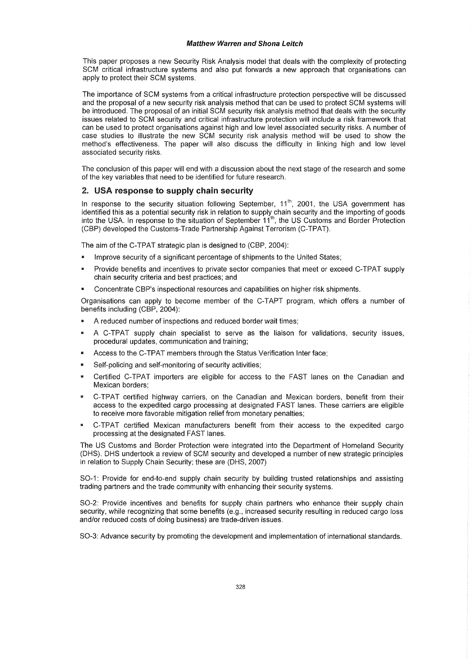### **Matthew Warren and Shona Leitch**

This paper proposes a new Security Risk Analysis model that deals with the complexity of protecting SCM critical infrastructure systems and also put forwards a new approach that organisations can apply to protect their SCM systems.

The importance of SCM systems from a critical infrastructure protection perspective will be discussed and the proposal of a new security risk analysis method that can be used to protect SCM systems will be introduced. The proposal of an initial SCM security risk analysis method that deals with the security issues related to SCM security and critical infrastructure protection will include a risk framework that can be used to protect organisations against high and low level associated security risks. A number of case studies to illustrate the new SCM security risk analysis method will be used to show the method's effectiveness. The paper will also discuss the difficulty in linking high and low level associated security risks.

The conclusion of this paper will end with a discussion about the next stage of the research and some of the key variables that need to be identified for future research.

# 2. USA response to supply chain security

In response to the security situation following September,  $11<sup>th</sup>$ , 2001, the USA government has identified this as a potential security risk in relation to supply chain security and the importing of goods into the USA. In response to the situation of September 11<sup>th</sup>, the US Customs and Border Protection (CBP) developed the Customs-Trade Partnership Against Terrorism (C-TPAT).

The aim of the C-TPAT strategic plan is designed to (CBP, 2004):

- Improve security of a significant percentage of shipments to the United States;
- Provide benefits and incentives to private sector companies that meet or exceed C-TPAT supply chain security criteria and best practices; and
- Concentrate CBP's inspectional resources and capabilities on higher risk shipments.

Organisations can apply to become member of the C-TAPT program, which offers a number of benefits including (CBP, 2004):

- A reduced number of inspections and reduced border wait times;
- B A C-TPAT supply chain specialist to serve as the liaison for validations, security issues, procedural updates, communication and training;
- Access to the C-TPAT members through the Status Verification Inter face;
- Self-policing and self-monitoring of security activities;
- 9 Certified C-TPAT importers are eligible for access to the FAST lanes on the Canadian and Mexican borders;
- <sup>m</sup>C-TPAT certified highway carriers, on the Canadian and Mexican borders, benefit from their access to the expedited cargo processing at designated FAST lanes. These carriers are eligible to receive more favorable mitigation relief from monetary penalties;
- <sup>m</sup>C-TPAT certified Mexican manufacturers benefit from their access to the expedited cargo processing at the designated FAST lanes.

The US Customs and Border Protection were integrated into the Department of Homeland Security (DHS). DHS undertook a review of SCM security and developed a number of new strategic principles in relation to Supply Chain Security; these are (DHS, 2007)

SO-1: Provide for end-to-end supply chain security by building trusted relationships and assisting trading partners and the trade community with enhancing their security systems.

SO-2: Provide incentives and benefits for supply chain partners who enhance their supply chain security, while recognizing that some benefits (e.g., increased security resulting in reduced cargo loss and/or reduced costs of doing business) are trade-driven issues.

SO-3: Advance security by promoting the development and implementation of international standards.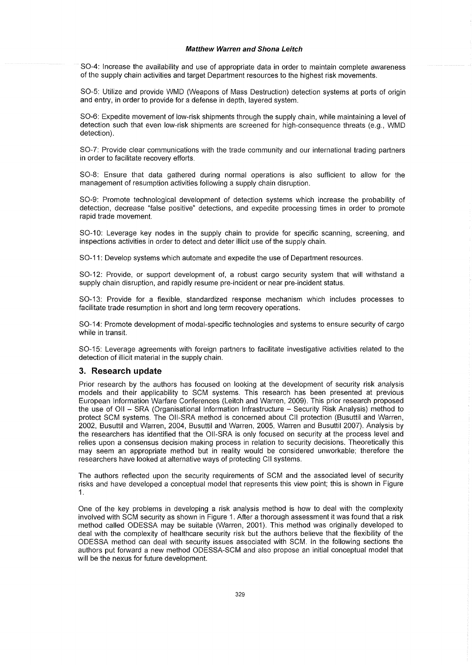#### **Matthew Warren and Shona Leitch**

SO-4: Increase the availability and use of appropriate data in order to maintain complete awareness of the supply chain activities and target Department resources to the highest risk movements.

SO-5: Utilize and provide WMD (Weapons of Mass Destruction) detection systems at ports of origin and entry, in order to provide for a defense in depth, layered system.

SO-6: Expedite movement of low-risk shipments through the supply chain, while maintaining a level of detection such that even low-risk shipments are screened for high-consequence threats (e.g., WMD detection).

SO-7: Provide clear communications with the trade community and our international trading partners in order to facilitate recovery efforts.

SO-8: Ensure that data gathered during normal operations is also sufficient to allow for the management of resumption activities following a supply chain disruption.

SO-9: Promote technological development of detection systems which increase the probability of detection, decrease "false positive" detections, and expedite processing times in order to promote rapid trade movement.

SO-1O: Leverage key nodes in the supply chain to provide for specific scanning, screening, and inspections activities in order to detect and deter illicit use of the supply chain.

SO-11: Develop systems which automate and expedite the use of Department resources.

SO-12: Provide, or support development of, a robust cargo security system that will withstand a supply chain disruption, and rapidly resume pre-incident or near pre-incident status.

SO-13: Provide for a flexible, standardized response mechanism which includes processes to facilitate trade resumption in short and long term recovery operations.

SO-14: Promote development of modal-specific technologies and systems to ensure security of cargo while in transit.

SO-15: Leverage agreements with foreign partners to facilitate investigative activities related to the detection of illicit material in the supply chain.

## 3. **Research update**

Prior research by the authors has focused on looking at the development of security risk analysis models and their applicability to SCM systems. This research has been presented at previous European Information Warfare Conferences (Leitch and Warren, 2009). This prior research proposed the use of 011 - SRA (Organisational Information Infrastructure - Security Risk Analysis) method to protect SCM systems. The Oll-SRA method is concerned about CII protection (Busuttil and Warren, 2002, Busuttil and Warren, 2004, Busuttil and Warren, 2005, Warren and Busuttil 2007). Analysis by the researchers has identified that the Oll-SRA is only focused on security at the process level and relies upon a consensus decision making process in relation to security decisions. Theoretically this may seem an appropriate method but in reality would be considered unworkable; therefore the researchers have looked at alternative ways of protecting CII systems.

The authors reflected upon the security requirements of SCM and the associated level of security risks and have developed a conceptual model that represents this view point; this is shown in Figure 1.

One of the key problems in developing a risk analysis method is how to deal with the complexity involved with SCM security as shown in Figure 1. After a thorough assessment it was found that a risk method called ODESSA may be suitable (Warren, 2001). This method was originally developed to deal with the complexity of healthcare security risk but the authors believe that the flexibility of the ODESSA method can deal with security issues associated with SCM. In the following sections the authors put forward a new method ODESSA-SCM and also propose an initial conceptual model that will be the nexus for future development.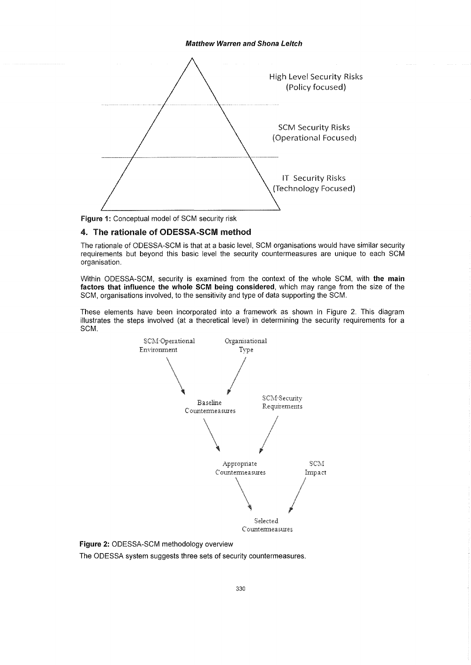

Figure 1: Conceptual model of SCM security risk

# 4. The rationale of ODESSA-SCM method

The rationale of ODESSA-SCM is that at a basic level, SCM organisations would have similar security requirements but beyond this basic level the security countermeasures are unique to each SCM organisation.

Within ODESSA-SCM, security is examined from the context of the whole SCM, with the main factors that influence the whole SCM being considered, which may range from the size of the SCM, organisations involved, to the sensitivity and type of data supporting the SCM.

These elements have been incorporated into a framework as shown in Figure 2. This diagram illustrates the steps involved (at a theoretical level) in determining the security requirements for a SCM.



Figure 2: ODESSA-SCM methodology overview

The ODESSA system suggests three sets of security countermeasures.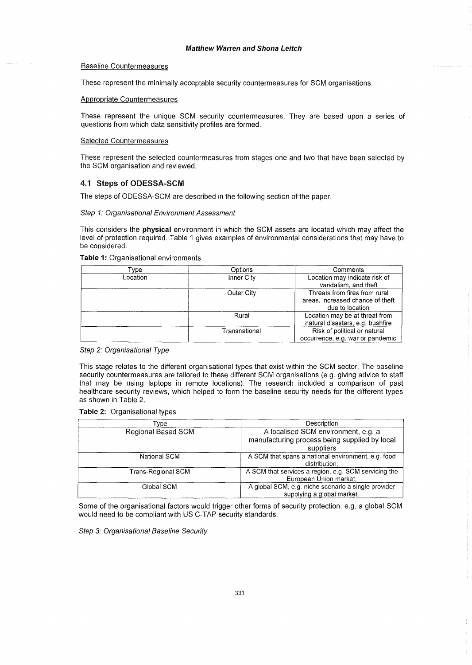## Baseline Countermeasures

These represent the minimally acceptable security countermeasures for SCM organisations.

#### Appropriate Countermeasures

These represent the unique SCM security countermeasures. They are based upon a series of questions from which data sensitivity profiles are formed.

#### Selected Countermeasures

These represent the selected countermeasures from stages one and two that have been selected by the SCM organisation and reviewed.

## 4.1 Steps of ODESSA-SCM

The steps of ODESSA-SCM are described in the following section of the paper.

#### Step 1: Organisational Environment Assessment

This considers the **physical** environment in which the SCM assets are located which may affect the level of protection required. Table 1 gives examples of environmental considerations that may have to be considered.

#### **Table 1:** Organisational environments

| Tvpe     | Options           | Comments                                                                             |
|----------|-------------------|--------------------------------------------------------------------------------------|
| Location | Inner City        | Location may indicate risk of<br>vandalism, and theft                                |
|          | <b>Outer City</b> | Threats from fires from rural<br>areas, increased chance of theft<br>due to location |
|          | Rural             | Location may be at threat from<br>natural disasters, e.g. bushfire                   |
|          | Transnational     | Risk of political or natural<br>occurrence, e.g. war or pandemic                     |

Step 2: Organisational Type

This stage relates to the different organisational types that exist within the SCM sector. The baseline security countermeasures are tailored to these different SCM organisations (e.g. giving advice to staff that may be using laptops in remote locations). The research included a comparison of past healthcare security reviews, which helped to form the baseline security needs for the different types as shown in Table 2.

**Table** 2: Organisational types

| 'ype :             | Description                                                                                       |
|--------------------|---------------------------------------------------------------------------------------------------|
| Regional Based SCM | A localised SCM environment, e.g. a<br>manufacturing process being supplied by local<br>suppliers |
| National SCM       | A SCM that spans a national environment, e.g. food<br>distribution:                               |
| Trans-Regional SCM | A SCM that services a region, e.g. SCM servicing the<br>European Union market;                    |
| Global SCM         | A global SCM, e.g. niche scenario a single provider<br>supplying a global market.                 |

Some of the organisational factors would trigger other forms of security protection, e.g. a global SCM would need to be compliant with US C-TAP security standards.

Step 3: Organisational Baseline Security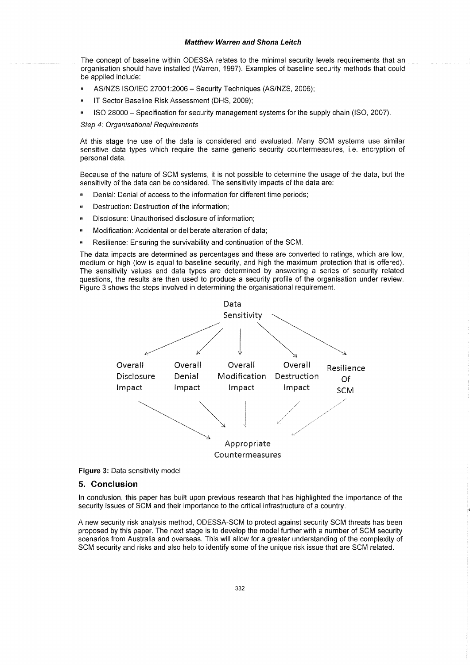The concept of baseline within ODESSA relates to the minimal security levels requirements that an organisation should have installed (Warren, 1997). Examples of baseline security methods that could be applied include:

- AS/NZS ISOIIEC 27001 :2006 Security Techniques (AS/NZS, 2006);
- IT Sector Baseline Risk Assessment (DHS, 2009);
- ISO 28000 Specification for security management systems for the supply chain (ISO, 2007).

Step 4: Organisational Requirements

At this stage the use of the data is considered and evaluated. Many SCM systems use similar sensitive data types which require the same generic security countermeasures, i.e. encryption of personal data.

Because of the nature of SCM systems, it is not possible to determine the usage of the data, but the sensitivity of the data can be considered. The sensitivity impacts of the data are:

- Denial: Denial of access to the information for different time periods;
- Destruction: Destruction of the information:
- Disclosure: Unauthorised disclosure of information;
- Modification: Accidental or deliberate alteration of data;
- Resilience: Ensuring the survivability and continuation of the SCM.

The data impacts are determined as percentages and these are converted to ratings, which are low, medium or high (low is equal to baseline security, and high the maximum protection that is offered). The sensitivity values and data types are determined by answering a series of security related questions, the results are then used to produce a security profile of the organisation under review. Figure 3 shows the steps involved in determining the organisational requirement.



**Figure 3:** Data sensitivity model

### **5. Conclusion**

In conclusion, this paper has built upon previous research that has highlighted the importance of the security issues of SCM and their importance to the critical infrastructure of a country.

A new security risk analysis method, ODESSA-SCM to protect against security SCM threats has been proposed by this paper. The next stage is to develop the model further with a number of SCM security scenarios from Australia and overseas. This will allow for a greater understanding of the complexity of SCM security and risks and also help to identify some of the unique risk issue that are SCM related.